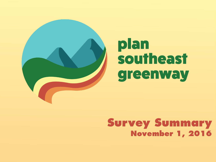

# plan southeast greenway

### **Survey Summary November 1, 2016**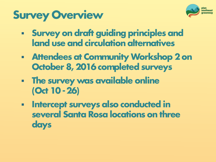## **Survey Overview**



- **Survey on draft guiding principles and land use and circulation alternatives**
- **Attendees at Community Workshop 2 on October 8, 2016 completed surveys**
- **The survey was available online (Oct 10 -26)**
- **Intercept surveys also conducted in several Santa Rosa locations on three days**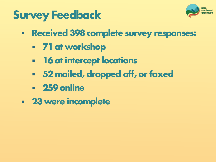



- **Received 398 complete survey responses:**
	- **71 at workshop**
	- **16 at intercept locations**
	- **52 mailed, dropped off, or faxed**
	- **259 online**
- **23 were incomplete**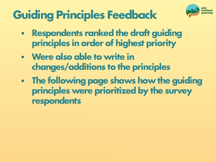

## **Guiding Principles Feedback**

- **Respondents ranked the draft guiding principles in order of highest priority**
- **Were also able to write in changes/additions to the principles**
- **The following page shows how the guiding principles were prioritized by the survey respondents**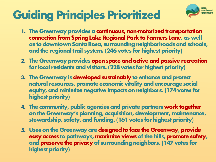## **Guiding Principles Prioritized**



- **1. The Greenway provides a continuous, non-motorized transportation connection from Spring Lake Regional Park to Farmers Lane, as well as to downtown Santa Rosa, surrounding neighborhoods and schools, and the regional trail system. (246 votes for highest priority)**
- **2. The Greenway provides open space and active and passive recreation for local residents and visitors. (228 votes for highest priority)**
- **3. The Greenway is developed sustainably to enhance and protect natural resources, promote economic vitality and encourage social equity, and minimize negative impacts on neighbors. (174 votes for highest priority)**
- **4. The community, public agencies and private partners work together on the Greenway's planning, acquisition, development, maintenance, stewardship, safety, and funding. (161 votes for highest priority)**
- **5. Uses on the Greenway are designed to face the Greenway, provide easy access to pathways, maximize views of the hills, promote safety, and preserve the privacy of surrounding neighbors. (147 votes for highest priority)**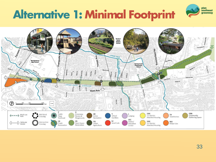## **Alternative 1: Minimal Footprint**



plan southeast greenway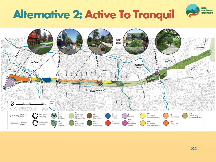## **Alternative 2: Active To Tranquil**



plan southeast greenway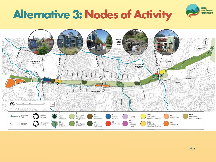### **Alternative 3: Nodes of Activity**



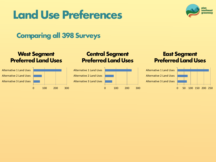### **Land Use Preferences**



### **Comparing all 398 Surveys**

#### **West Segment Preferred Land Uses**



#### **Central Segment Preferred Land Uses**



#### **East Segment Preferred Land Uses**

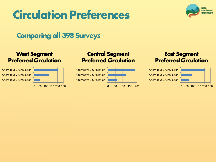### **Circulation Preferences**



### **Comparing all 398 Surveys**

#### **West Segment Preferred Circulation**



#### **Central Segment Preferred Circulation**



#### **East Segment Preferred Circulation**

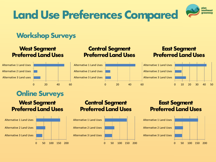

### **Workshop Surveys**

#### **West Segment Preferred Land Uses**



### **Online Surveys**

#### **West Segment Preferred Land Uses**



#### **Central Segment Preferred Land Uses**

#### **East Segment Preferred Land Uses**



#### **Central Segment Preferred Land Uses**



#### **East Segment Preferred Land Uses**